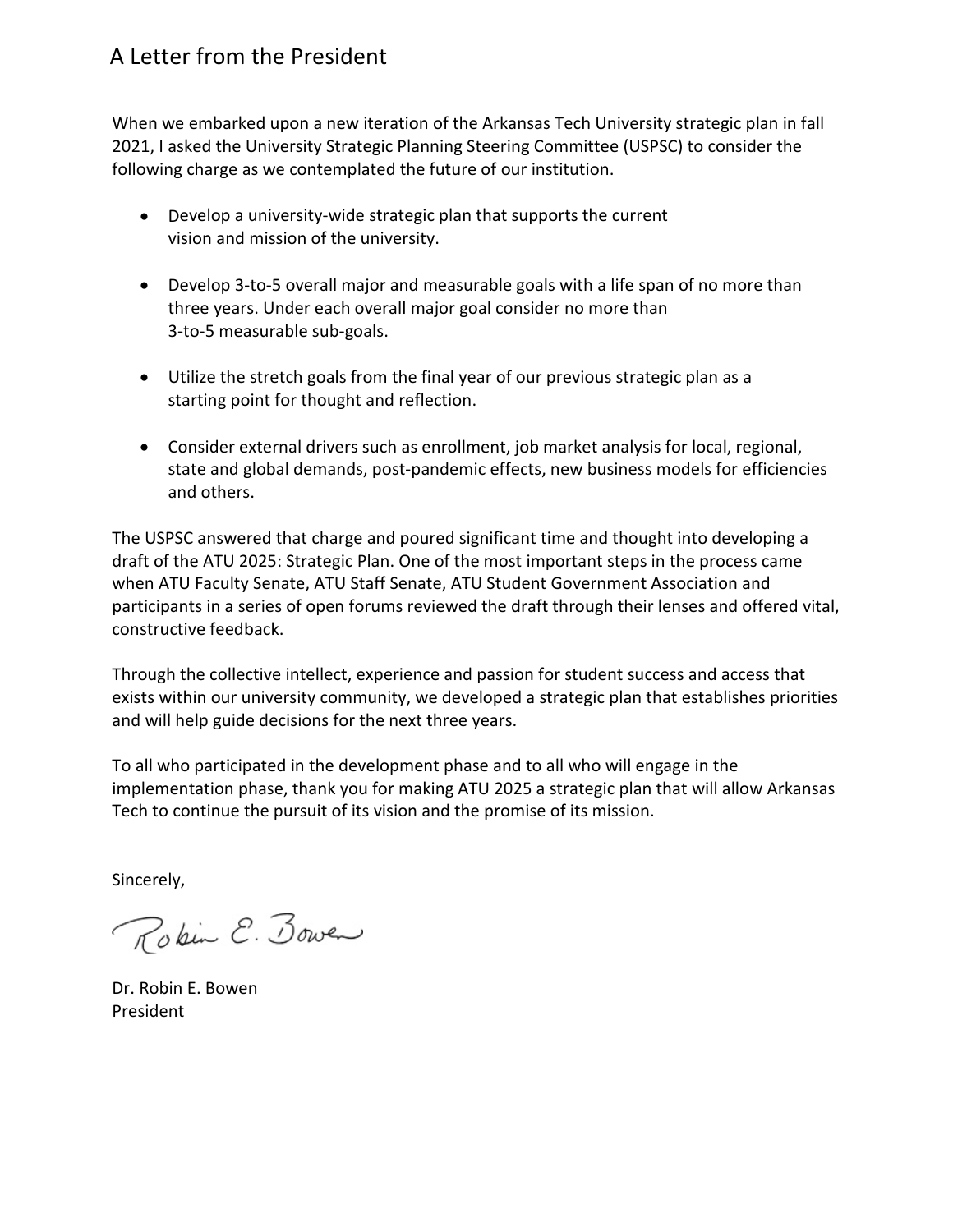## A Letter from the President

When we embarked upon a new iteration of the Arkansas Tech University strategic plan in fall 2021, I asked the University Strategic Planning Steering Committee (USPSC) to consider the following charge as we contemplated the future of our institution.

- Develop a university-wide strategic plan that supports the current vision and mission of the university.
- Develop 3-to-5 overall major and measurable goals with a life span of no more than three years. Under each overall major goal consider no more than 3-to-5 measurable sub-goals.
- Utilize the stretch goals from the final year of our previous strategic plan as a starting point for thought and reflection.
- Consider external drivers such as enrollment, job market analysis for local, regional, state and global demands, post-pandemic effects, new business models for efficiencies and others.

The USPSC answered that charge and poured significant time and thought into developing a draft of the ATU 2025: Strategic Plan. One of the most important steps in the process came when ATU Faculty Senate, ATU Staff Senate, ATU Student Government Association and participants in a series of open forums reviewed the draft through their lenses and offered vital, constructive feedback.

Through the collective intellect, experience and passion for student success and access that exists within our university community, we developed a strategic plan that establishes priorities and will help guide decisions for the next three years.

To all who participated in the development phase and to all who will engage in the implementation phase, thank you for making ATU 2025 a strategic plan that will allow Arkansas Tech to continue the pursuit of its vision and the promise of its mission.

Sincerely,

Rokin E. Bower

Dr. Robin E. Bowen President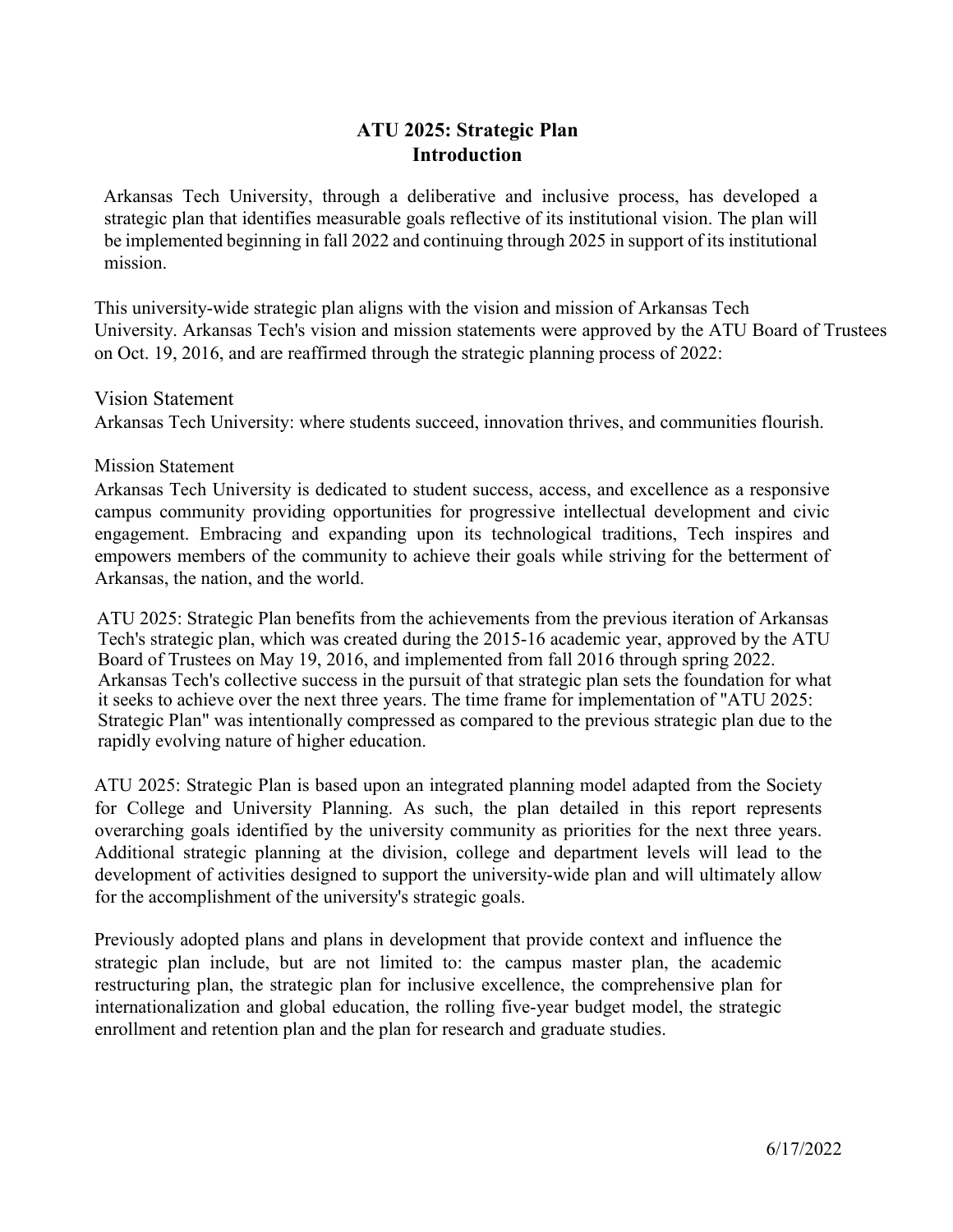## **ATU 2025: Strategic Plan Introduction**

Arkansas Tech University, through a deliberative and inclusive process, has developed a strategic plan that identifies measurable goals reflective of its institutional vision. The plan will be implemented beginning in fall 2022 and continuing through 2025 in support of its institutional mission.

This university-wide strategic plan aligns with the vision and mission of Arkansas Tech University. Arkansas Tech's vision and mission statements were approved by the ATU Board of Trustees on Oct. 19, 2016, and are reaffirmed through the strategic planning process of 2022:

Vision Statement Arkansas Tech University: where students succeed, innovation thrives, and communities flourish.

Mission Statement

Arkansas Tech University is dedicated to student success, access, and excellence as a responsive campus community providing opportunities for progressive intellectual development and civic engagement. Embracing and expanding upon its technological traditions, Tech inspires and empowers members of the community to achieve their goals while striving for the betterment of Arkansas, the nation, and the world.

ATU 2025: Strategic Plan benefits from the achievements from the previous iteration of Arkansas Tech's strategic plan, which was created during the 2015-16 academic year, approved by the ATU Board of Trustees on May 19, 2016, and implemented from fall 2016 through spring 2022. Arkansas Tech's collective success in the pursuit of that strategic plan sets the foundation for what it seeks to achieve over the next three years. The time frame for implementation of "ATU 2025: Strategic Plan" was intentionally compressed as compared to the previous strategic plan due to the rapidly evolving nature of higher education.

ATU 2025: Strategic Plan is based upon an integrated planning model adapted from the Society for College and University Planning. As such, the plan detailed in this report represents overarching goals identified by the university community as priorities for the next three years. Additional strategic planning at the division, college and department levels will lead to the development of activities designed to support the university-wide plan and will ultimately allow for the accomplishment of the university's strategic goals.

Previously adopted plans and plans in development that provide context and influence the strategic plan include, but are not limited to: the campus master plan, the academic restructuring plan, the strategic plan for inclusive excellence, the comprehensive plan for internationalization and global education, the rolling five-year budget model, the strategic enrollment and retention plan and the plan for research and graduate studies.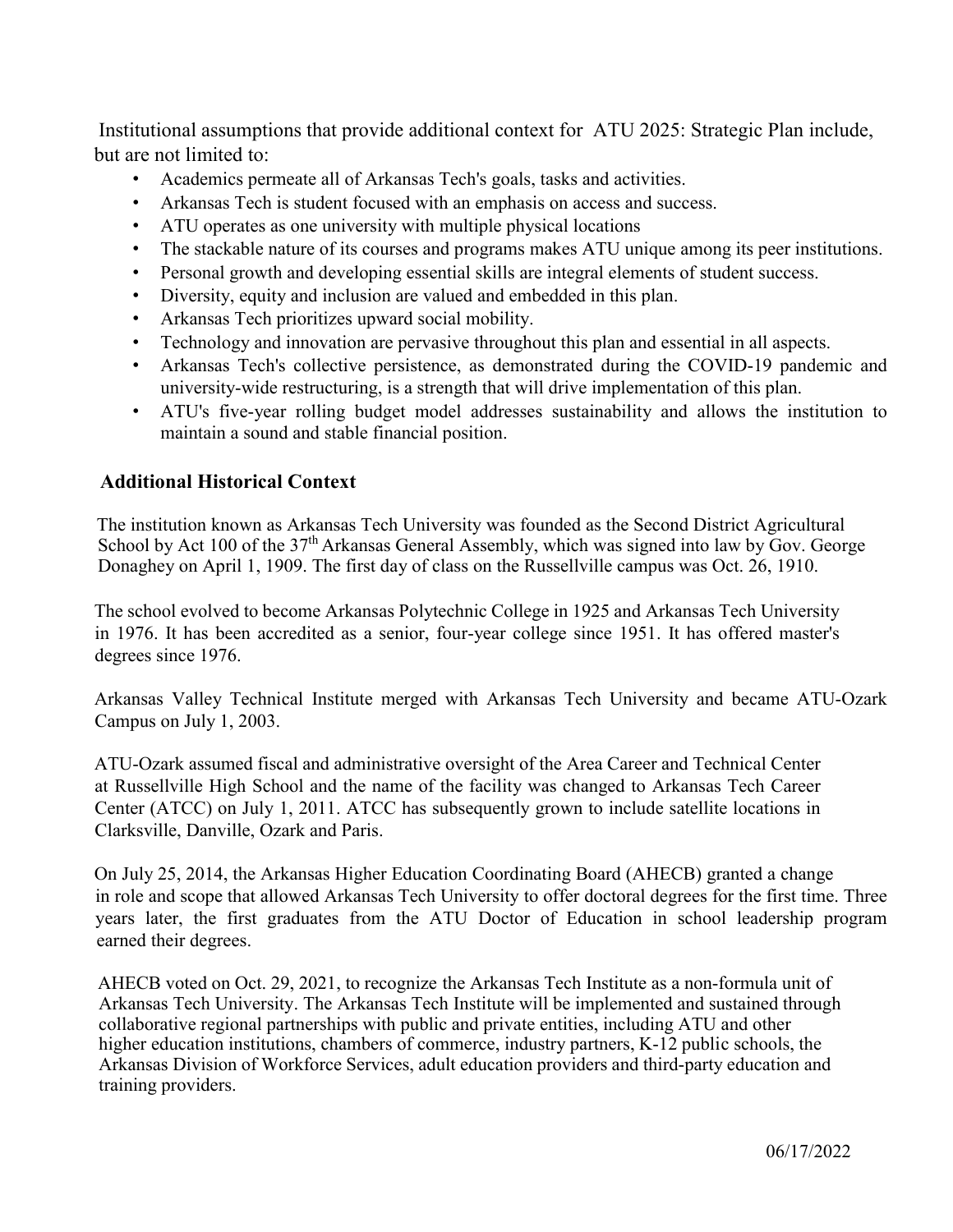Institutional assumptions that provide additional context for ATU 2025: Strategic Plan include, but are not limited to:

- Academics permeate all of Arkansas Tech's goals, tasks and activities.
- Arkansas Tech is student focused with an emphasis on access and success.
- ATU operates as one university with multiple physical locations
- The stackable nature of its courses and programs makes ATU unique among its peer institutions.
- Personal growth and developing essential skills are integral elements of student success.
- Diversity, equity and inclusion are valued and embedded in this plan.
- Arkansas Tech prioritizes upward social mobility.
- Technology and innovation are pervasive throughout this plan and essential in all aspects.
- Arkansas Tech's collective persistence, as demonstrated during the COVID-19 pandemic and university-wide restructuring, is a strength that will drive implementation of this plan.
- ATU's five-year rolling budget model addresses sustainability and allows the institution to maintain a sound and stable financial position.

## **Additional Historical Context**

The institution known as Arkansas Tech University was founded as the Second District Agricultural School by Act 100 of the  $37<sup>th</sup>$  Arkansas General Assembly, which was signed into law by Gov. George Donaghey on April 1, 1909. The first day of class on the Russellville campus was Oct. 26, 1910.

The school evolved to become Arkansas Polytechnic College in 1925 and Arkansas Tech University in 1976. It has been accredited as a senior, four-year college since 1951. It has offered master's degrees since 1976.

Arkansas Valley Technical Institute merged with Arkansas Tech University and became ATU-Ozark Campus on July 1, 2003.

ATU-Ozark assumed fiscal and administrative oversight of the Area Career and Technical Center at Russellville High School and the name of the facility was changed to Arkansas Tech Career Center (ATCC) on July 1, 2011. ATCC has subsequently grown to include satellite locations in Clarksville, Danville, Ozark and Paris.

On July 25, 2014, the Arkansas Higher Education Coordinating Board (AHECB) granted a change in role and scope that allowed Arkansas Tech University to offer doctoral degrees for the first time. Three years later, the first graduates from the ATU Doctor of Education in school leadership program earned their degrees.

AHECB voted on Oct. 29, 2021, to recognize the Arkansas Tech Institute as a non-formula unit of Arkansas Tech University. The Arkansas Tech Institute will be implemented and sustained through collaborative regional partnerships with public and private entities, including ATU and other higher education institutions, chambers of commerce, industry partners, K-12 public schools, the Arkansas Division of Workforce Services, adult education providers and third-party education and training providers.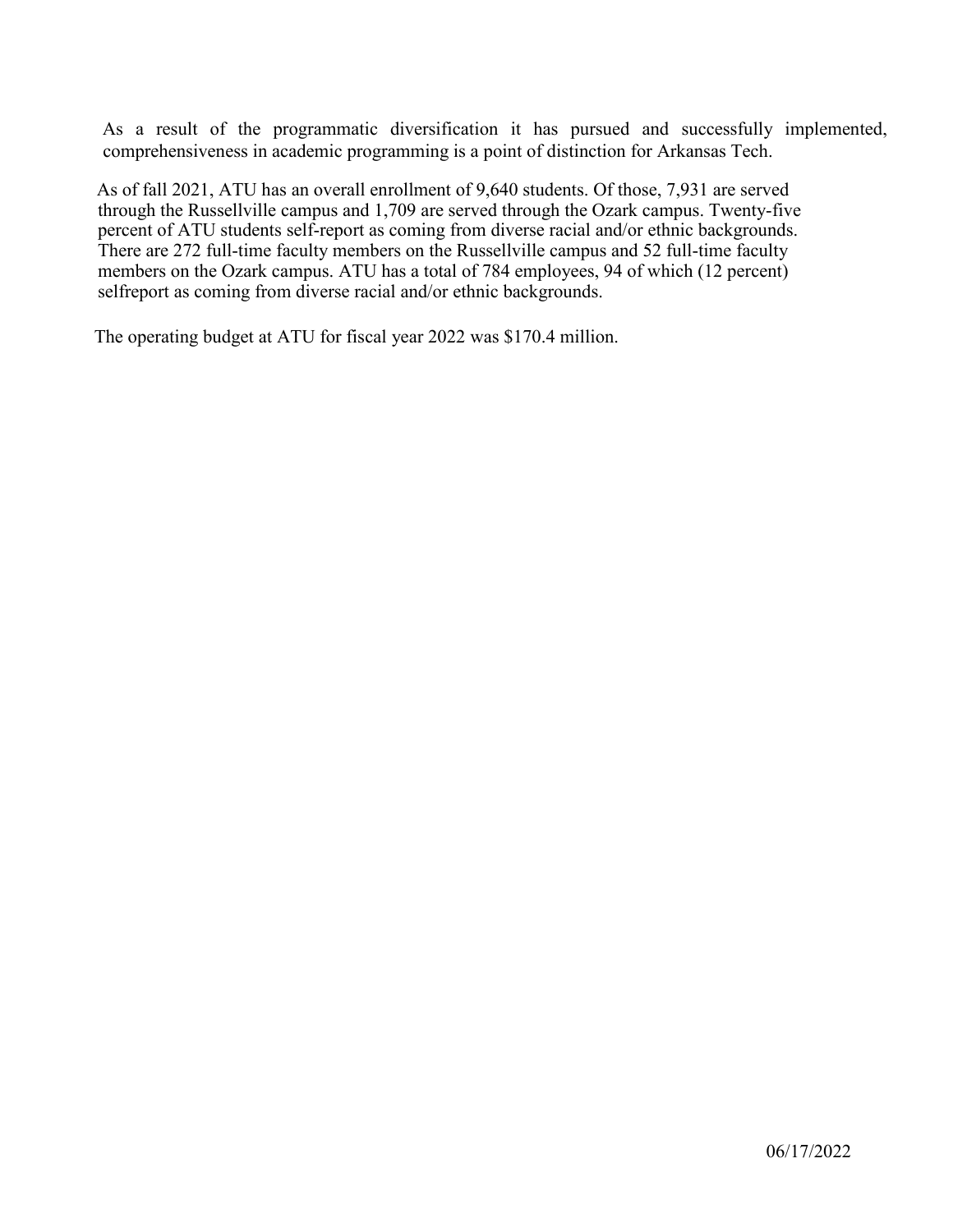As a result of the programmatic diversification it has pursued and successfully implemented, comprehensiveness in academic programming is a point of distinction for Arkansas Tech.

As of fall 2021, ATU has an overall enrollment of 9,640 students. Of those, 7,931 are served through the Russellville campus and 1,709 are served through the Ozark campus. Twenty-five percent of ATU students self-report as coming from diverse racial and/or ethnic backgrounds. There are 272 full-time faculty members on the Russellville campus and 52 full-time faculty members on the Ozark campus. ATU has a total of 784 employees, 94 of which (12 percent) selfreport as coming from diverse racial and/or ethnic backgrounds.

The operating budget at ATU for fiscal year 2022 was \$170.4 million.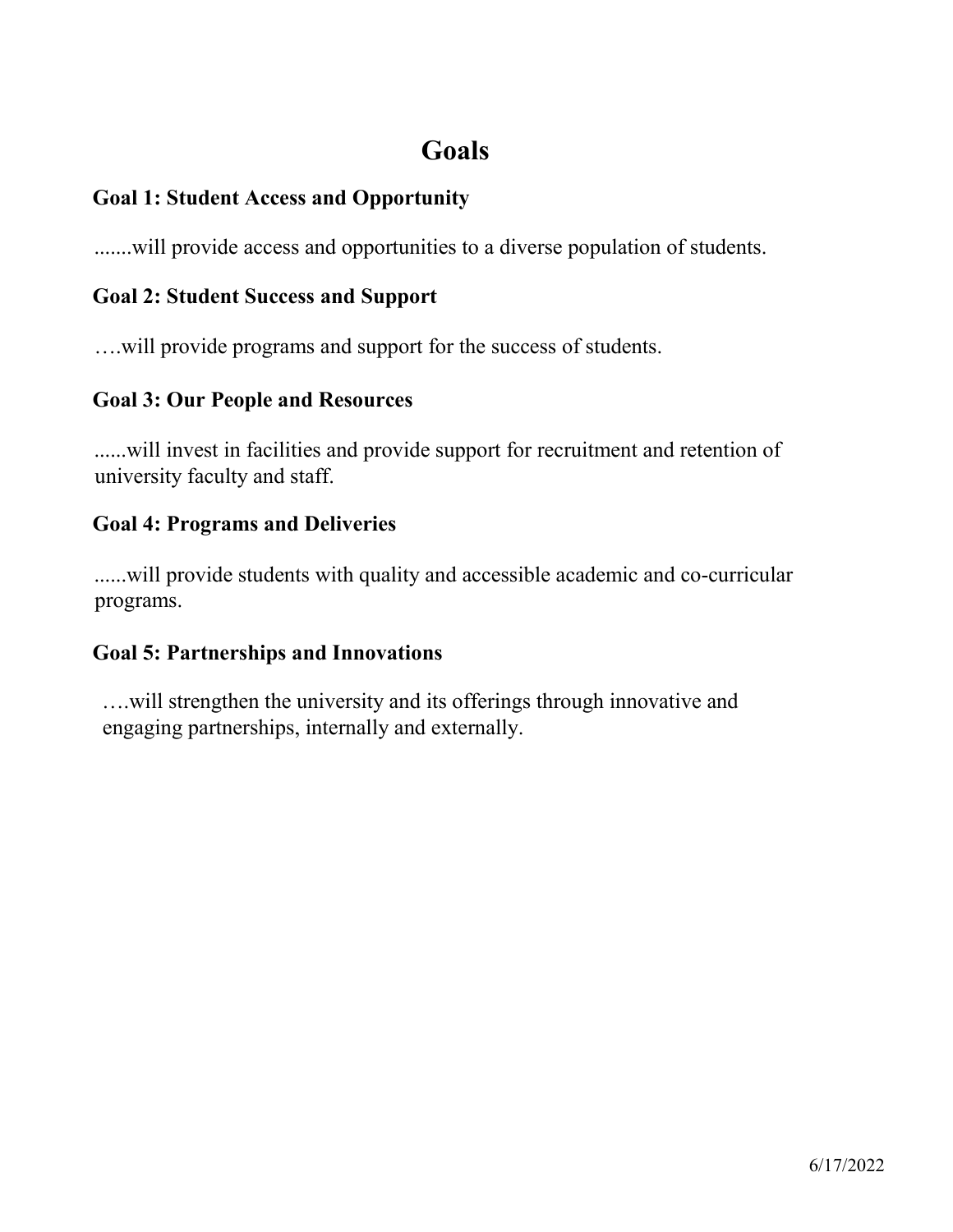# **Goals**

## **Goal 1: Student Access and Opportunity**

.......will provide access and opportunities to a diverse population of students.

## **Goal 2: Student Success and Support**

….will provide programs and support for the success of students.

## **Goal 3: Our People and Resources**

......will invest in facilities and provide support for recruitment and retention of university faculty and staff.

## **Goal 4: Programs and Deliveries**

......will provide students with quality and accessible academic and co-curricular programs.

## **Goal 5: Partnerships and Innovations**

….will strengthen the university and its offerings through innovative and engaging partnerships, internally and externally.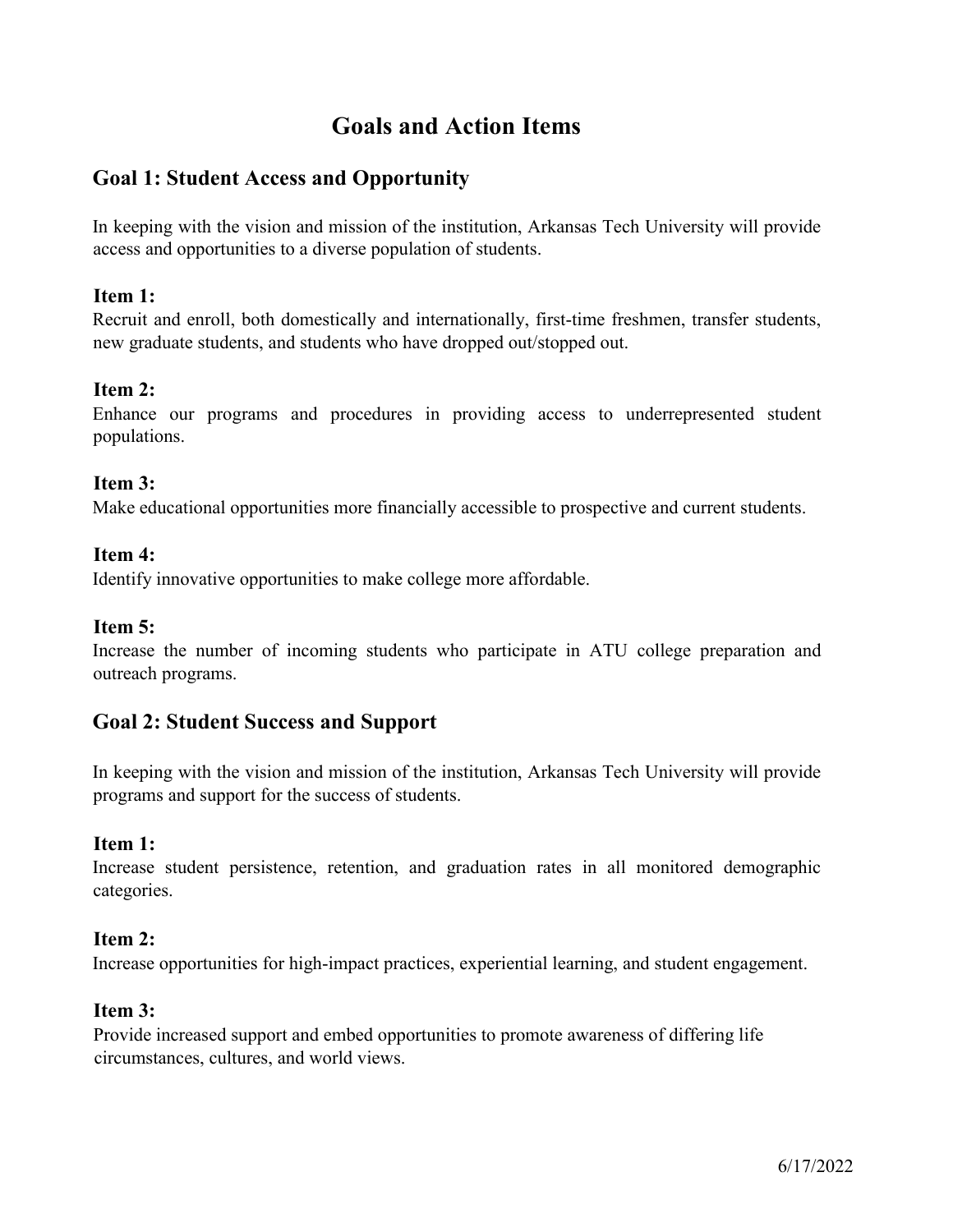## **Goals and Action Items**

## **Goal 1: Student Access and Opportunity**

In keeping with the vision and mission of the institution, Arkansas Tech University will provide access and opportunities to a diverse population of students.

## **Item 1:**

Recruit and enroll, both domestically and internationally, first-time freshmen, transfer students, new graduate students, and students who have dropped out/stopped out.

## **Item 2:**

Enhance our programs and procedures in providing access to underrepresented student populations.

## **Item 3:**

Make educational opportunities more financially accessible to prospective and current students.

## **Item 4:**

Identify innovative opportunities to make college more affordable.

### **Item 5:**

Increase the number of incoming students who participate in ATU college preparation and outreach programs.

## **Goal 2: Student Success and Support**

In keeping with the vision and mission of the institution, Arkansas Tech University will provide programs and support for the success of students.

### **Item 1:**

Increase student persistence, retention, and graduation rates in all monitored demographic categories.

### **Item 2:**

Increase opportunities for high-impact practices, experiential learning, and student engagement.

### **Item 3:**

Provide increased support and embed opportunities to promote awareness of differing life circumstances, cultures, and world views.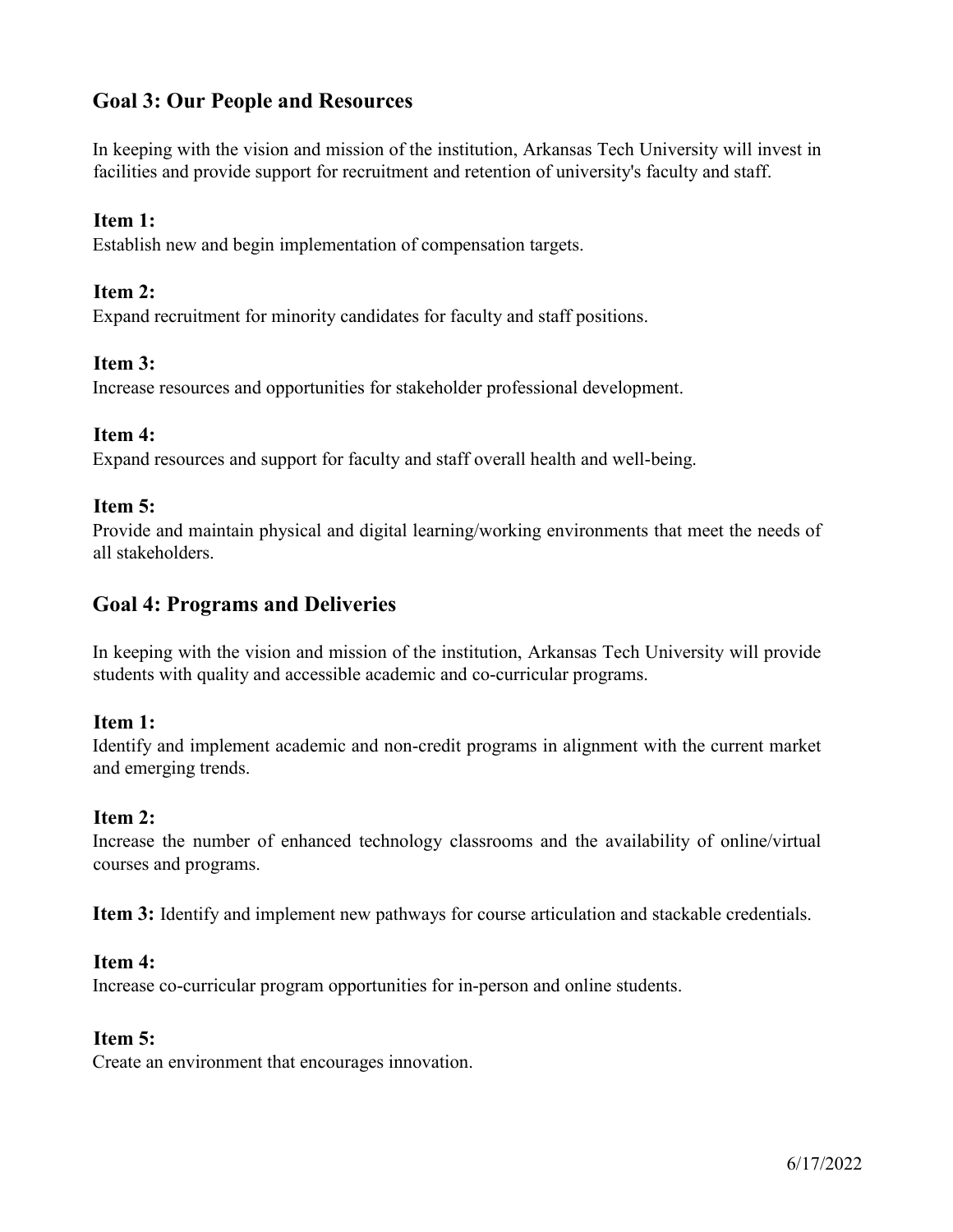## **Goal 3: Our People and Resources**

In keeping with the vision and mission of the institution, Arkansas Tech University will invest in facilities and provide support for recruitment and retention of university's faculty and staff.

## **Item 1:**

Establish new and begin implementation of compensation targets.

### **Item 2:**

Expand recruitment for minority candidates for faculty and staff positions.

### **Item 3:**

Increase resources and opportunities for stakeholder professional development.

### **Item 4:**

Expand resources and support for faculty and staff overall health and well-being.

## **Item 5:**

Provide and maintain physical and digital learning/working environments that meet the needs of all stakeholders.

## **Goal 4: Programs and Deliveries**

In keeping with the vision and mission of the institution, Arkansas Tech University will provide students with quality and accessible academic and co-curricular programs.

### **Item 1:**

Identify and implement academic and non-credit programs in alignment with the current market and emerging trends.

### **Item 2:**

Increase the number of enhanced technology classrooms and the availability of online/virtual courses and programs.

**Item 3:** Identify and implement new pathways for course articulation and stackable credentials.

### **Item 4:**

Increase co-curricular program opportunities for in-person and online students.

### **Item 5:**

Create an environment that encourages innovation.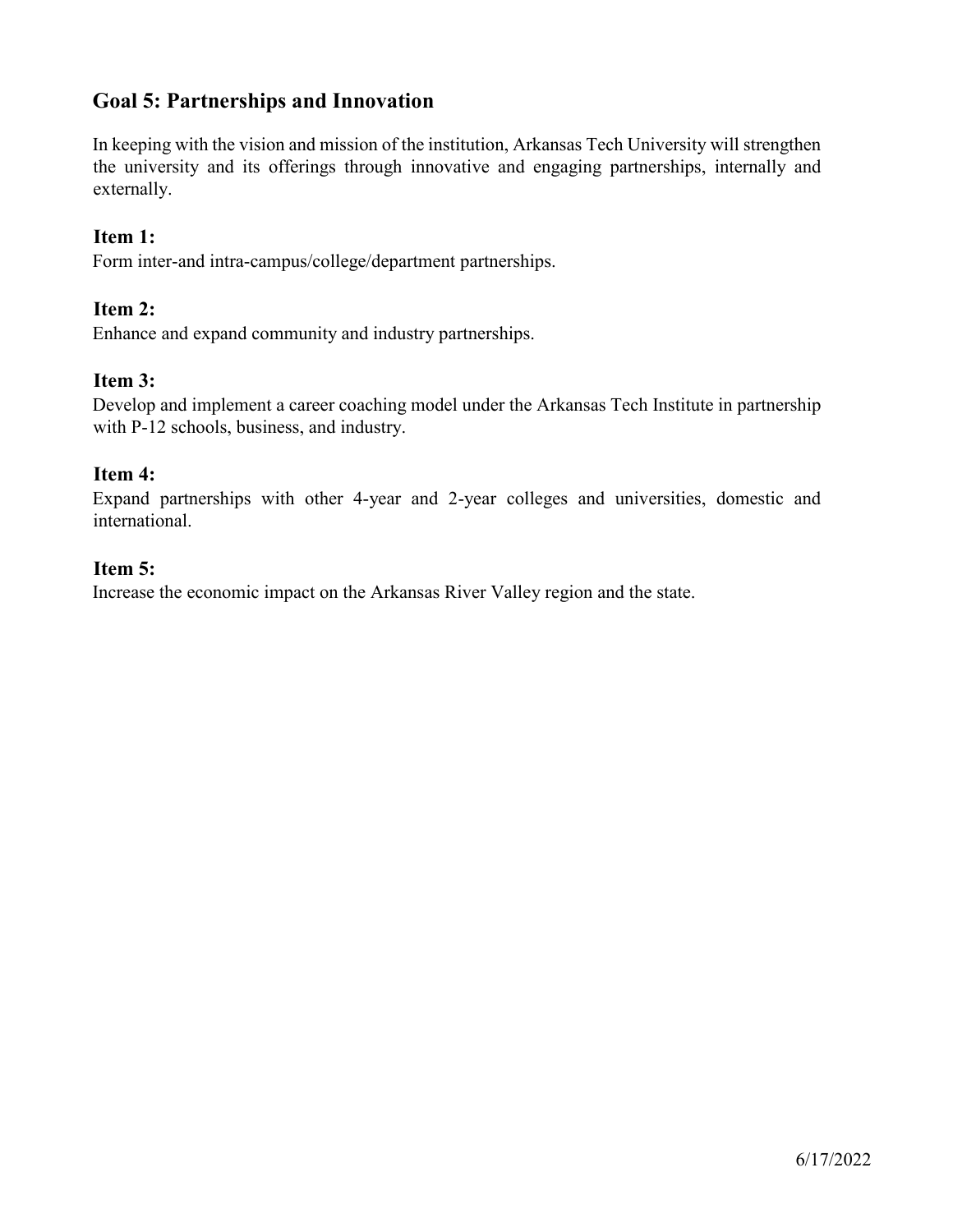## **Goal 5: Partnerships and Innovation**

In keeping with the vision and mission of the institution, Arkansas Tech University will strengthen the university and its offerings through innovative and engaging partnerships, internally and externally.

## **Item 1:**

Form inter-and intra-campus/college/department partnerships.

## **Item 2:**

Enhance and expand community and industry partnerships.

## **Item 3:**

Develop and implement a career coaching model under the Arkansas Tech Institute in partnership with P-12 schools, business, and industry.

## **Item 4:**

Expand partnerships with other 4-year and 2-year colleges and universities, domestic and international.

## **Item 5:**

Increase the economic impact on the Arkansas River Valley region and the state.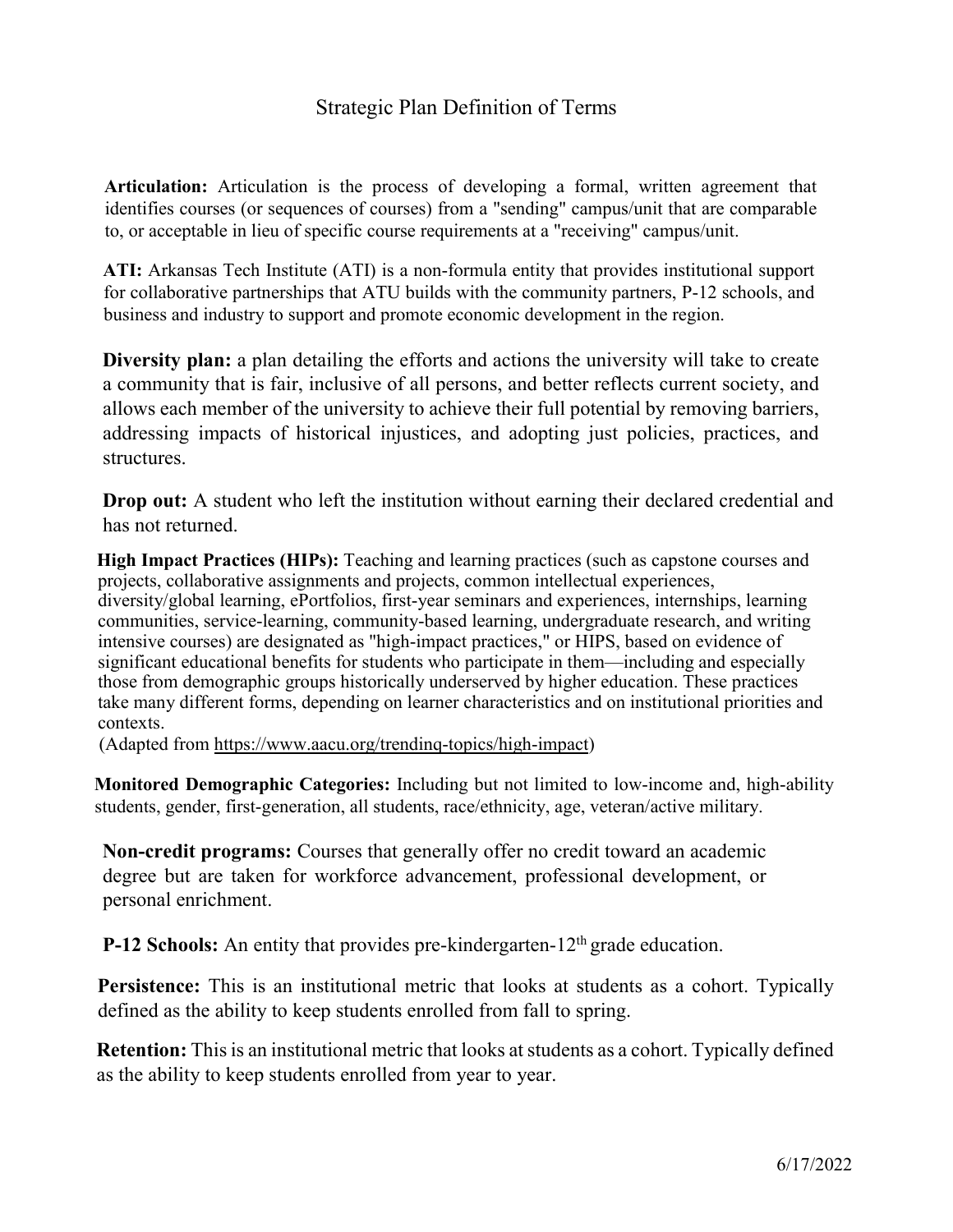## Strategic Plan Definition of Terms

**Articulation:** Articulation is the process of developing a formal, written agreement that identifies courses (or sequences of courses) from a "sending" campus/unit that are comparable to, or acceptable in lieu of specific course requirements at a "receiving" campus/unit.

**ATI:** Arkansas Tech Institute (ATI) is a non-formula entity that provides institutional support for collaborative partnerships that ATU builds with the community partners, P-12 schools, and business and industry to support and promote economic development in the region.

**Diversity plan:** a plan detailing the efforts and actions the university will take to create a community that is fair, inclusive of all persons, and better reflects current society, and allows each member of the university to achieve their full potential by removing barriers, addressing impacts of historical injustices, and adopting just policies, practices, and structures.

**Drop out:** A student who left the institution without earning their declared credential and has not returned.

**High Impact Practices (HIPs):** Teaching and learning practices (such as capstone courses and projects, collaborative assignments and projects, common intellectual experiences, diversity/global learning, ePortfolios, first-year seminars and experiences, internships, learning communities, service-learning, community-based learning, undergraduate research, and writing intensive courses) are designated as "high-impact practices," or HIPS, based on evidence of significant educational benefits for students who participate in them—including and especially those from demographic groups historically underserved by higher education. These practices take many different forms, depending on learner characteristics and on institutional priorities and contexts.

(Adapted from https://www.aacu.org/trendinq-topics/high-impact)

**Monitored Demographic Categories:** Including but not limited to low-income and, high-ability students, gender, first-generation, all students, race/ethnicity, age, veteran/active military.

**Non-credit programs:** Courses that generally offer no credit toward an academic degree but are taken for workforce advancement, professional development, or personal enrichment.

**P-12 Schools:** An entity that provides pre-kindergarten-12<sup>th</sup> grade education.

**Persistence:** This is an institutional metric that looks at students as a cohort. Typically defined as the ability to keep students enrolled from fall to spring.

**Retention:** This is an institutional metric that looks at students as a cohort. Typically defined as the ability to keep students enrolled from year to year.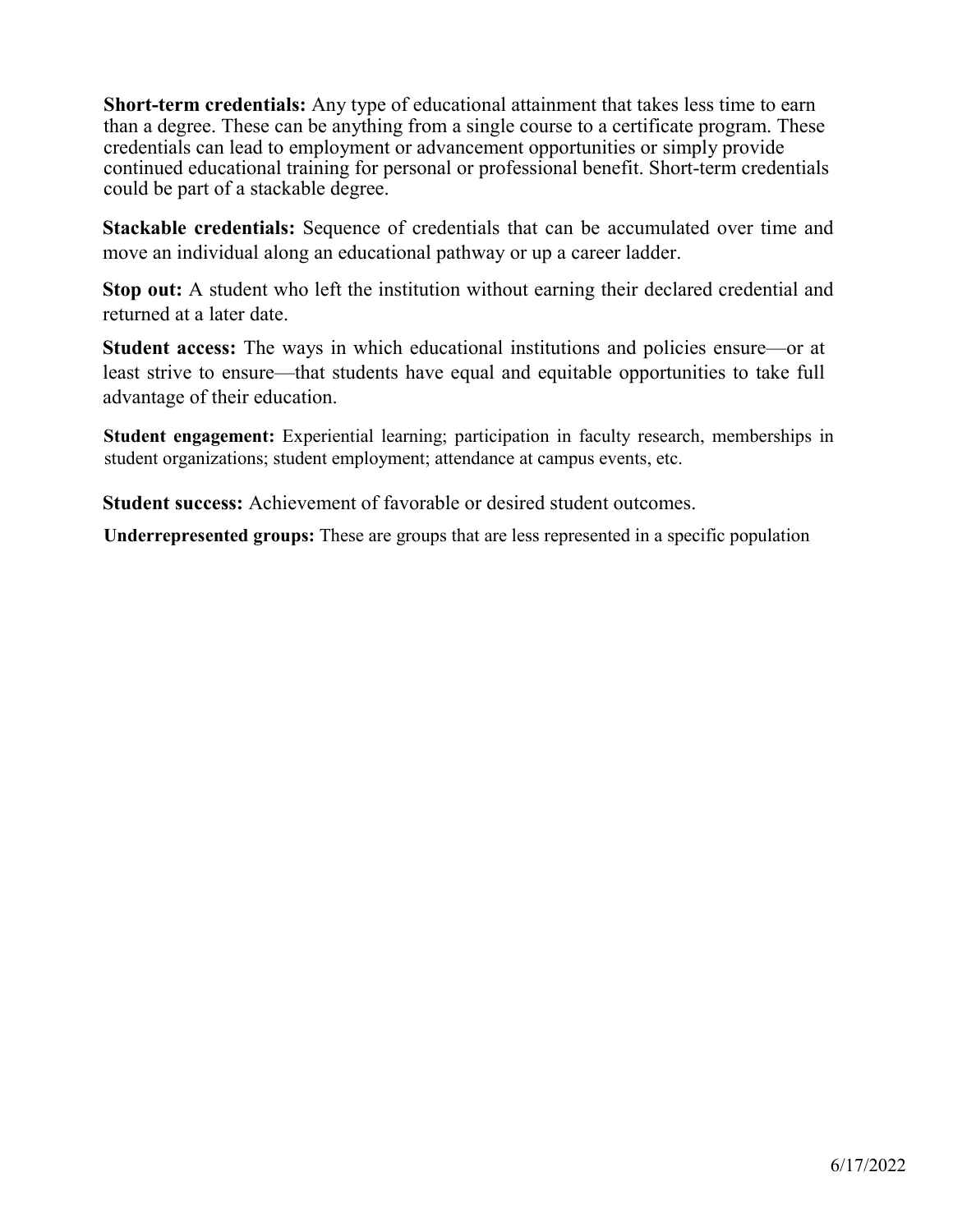**Short-term credentials:** Any type of educational attainment that takes less time to earn than a degree. These can be anything from a single course to a certificate program. These credentials can lead to employment or advancement opportunities or simply provide continued educational training for personal or professional benefit. Short-term credentials could be part of a stackable degree.

**Stackable credentials:** Sequence of credentials that can be accumulated over time and move an individual along an educational pathway or up a career ladder.

**Stop out:** A student who left the institution without earning their declared credential and returned at a later date.

**Student access:** The ways in which educational institutions and policies ensure—or at least strive to ensure—that students have equal and equitable opportunities to take full advantage of their education.

**Student engagement:** Experiential learning; participation in faculty research, memberships in student organizations; student employment; attendance at campus events, etc.

**Student success:** Achievement of favorable or desired student outcomes.

**Underrepresented groups:** These are groups that are less represented in a specific population